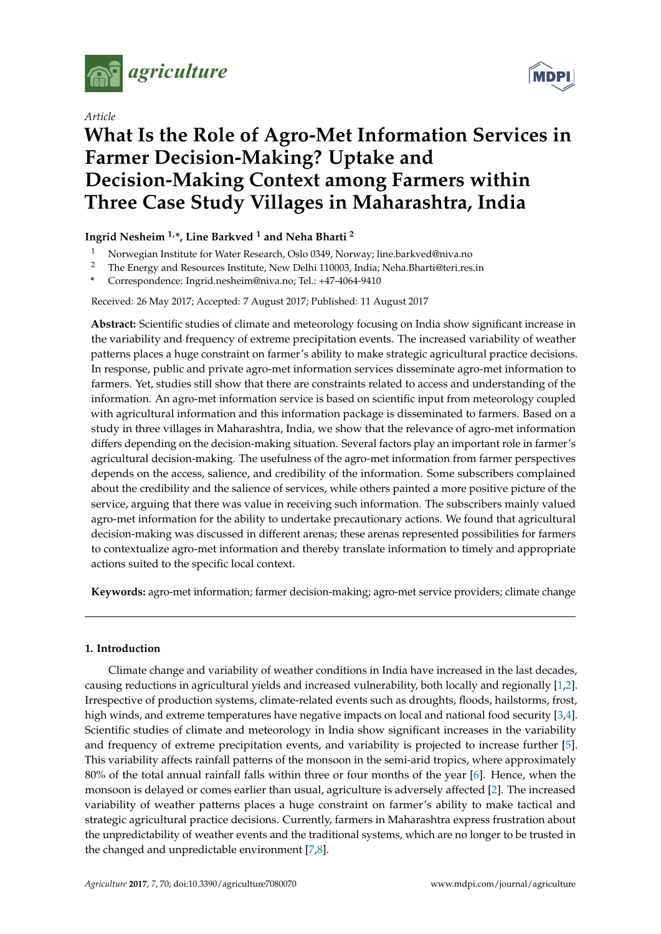

*Article*



# **What Is the Role of Agro-Met Information Services in Farmer Decision-Making? Uptake and Decision-Making Context among Farmers within Three Case Study Villages in Maharashtra, India**

# **Ingrid Nesheim 1,\*, Line Barkved <sup>1</sup> and Neha Bharti <sup>2</sup>**

- <sup>1</sup> Norwegian Institute for Water Research, Oslo 0349, Norway; line.barkved@niva.no<br><sup>2</sup> The Fraggy and Becourses Institute, Navy Delhi 110002, Indie: Nebe Pharti@teri.nec
- <sup>2</sup> The Energy and Resources Institute, New Delhi 110003, India; Neha.Bharti@teri.res.in
- **\*** Correspondence: Ingrid.nesheim@niva.no; Tel.: +47-4064-9410

## Received: 26 May 2017; Accepted: 7 August 2017; Published: 11 August 2017

**Abstract:** Scientific studies of climate and meteorology focusing on India show significant increase in the variability and frequency of extreme precipitation events. The increased variability of weather patterns places a huge constraint on farmer's ability to make strategic agricultural practice decisions. In response, public and private agro-met information services disseminate agro-met information to farmers. Yet, studies still show that there are constraints related to access and understanding of the information. An agro-met information service is based on scientific input from meteorology coupled with agricultural information and this information package is disseminated to farmers. Based on a study in three villages in Maharashtra, India, we show that the relevance of agro-met information differs depending on the decision-making situation. Several factors play an important role in farmer's agricultural decision-making. The usefulness of the agro-met information from farmer perspectives depends on the access, salience, and credibility of the information. Some subscribers complained about the credibility and the salience of services, while others painted a more positive picture of the service, arguing that there was value in receiving such information. The subscribers mainly valued agro-met information for the ability to undertake precautionary actions. We found that agricultural decision-making was discussed in different arenas; these arenas represented possibilities for farmers to contextualize agro-met information and thereby translate information to timely and appropriate actions suited to the specific local context.

**Keywords:** agro-met information; farmer decision-making; agro-met service providers; climate change

## **1. Introduction**

Climate change and variability of weather conditions in India have increased in the last decades, causing reductions in agricultural yields and increased vulnerability, both locally and regionally [\[1,](#page-12-0)[2\]](#page-12-1). Irrespective of production systems, climate-related events such as droughts, floods, hailstorms, frost, high winds, and extreme temperatures have negative impacts on local and national food security [\[3](#page-12-2)[,4\]](#page-13-0). Scientific studies of climate and meteorology in India show significant increases in the variability and frequency of extreme precipitation events, and variability is projected to increase further [\[5\]](#page-13-1). This variability affects rainfall patterns of the monsoon in the semi-arid tropics, where approximately 80% of the total annual rainfall falls within three or four months of the year [\[6\]](#page-13-2). Hence, when the monsoon is delayed or comes earlier than usual, agriculture is adversely affected [\[2\]](#page-12-1). The increased variability of weather patterns places a huge constraint on farmer's ability to make tactical and strategic agricultural practice decisions. Currently, farmers in Maharashtra express frustration about the unpredictability of weather events and the traditional systems, which are no longer to be trusted in the changed and unpredictable environment [\[7,](#page-13-3)[8\]](#page-13-4).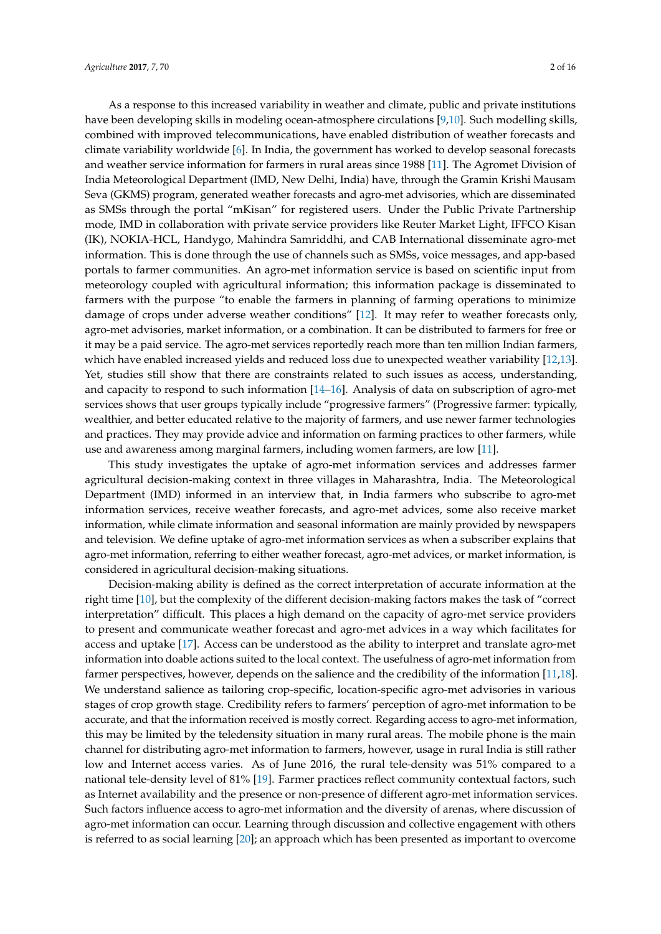As a response to this increased variability in weather and climate, public and private institutions have been developing skills in modeling ocean-atmosphere circulations [\[9](#page-13-5)[,10\]](#page-13-6). Such modelling skills, combined with improved telecommunications, have enabled distribution of weather forecasts and climate variability worldwide [\[6\]](#page-13-2). In India, the government has worked to develop seasonal forecasts and weather service information for farmers in rural areas since 1988 [\[11\]](#page-13-7). The Agromet Division of India Meteorological Department (IMD, New Delhi, India) have, through the Gramin Krishi Mausam Seva (GKMS) program, generated weather forecasts and agro-met advisories, which are disseminated as SMSs through the portal "mKisan" for registered users. Under the Public Private Partnership mode, IMD in collaboration with private service providers like Reuter Market Light, IFFCO Kisan (IK), NOKIA-HCL, Handygo, Mahindra Samriddhi, and CAB International disseminate agro-met information. This is done through the use of channels such as SMSs, voice messages, and app-based portals to farmer communities. An agro-met information service is based on scientific input from meteorology coupled with agricultural information; this information package is disseminated to farmers with the purpose "to enable the farmers in planning of farming operations to minimize damage of crops under adverse weather conditions" [\[12\]](#page-13-8). It may refer to weather forecasts only, agro-met advisories, market information, or a combination. It can be distributed to farmers for free or it may be a paid service. The agro-met services reportedly reach more than ten million Indian farmers, which have enabled increased yields and reduced loss due to unexpected weather variability [\[12,](#page-13-8)[13\]](#page-13-9). Yet, studies still show that there are constraints related to such issues as access, understanding, and capacity to respond to such information [\[14–](#page-13-10)[16\]](#page-13-11). Analysis of data on subscription of agro-met services shows that user groups typically include "progressive farmers" (Progressive farmer: typically, wealthier, and better educated relative to the majority of farmers, and use newer farmer technologies and practices. They may provide advice and information on farming practices to other farmers, while use and awareness among marginal farmers, including women farmers, are low [\[11\]](#page-13-7).

This study investigates the uptake of agro-met information services and addresses farmer agricultural decision-making context in three villages in Maharashtra, India. The Meteorological Department (IMD) informed in an interview that, in India farmers who subscribe to agro-met information services, receive weather forecasts, and agro-met advices, some also receive market information, while climate information and seasonal information are mainly provided by newspapers and television. We define uptake of agro-met information services as when a subscriber explains that agro-met information, referring to either weather forecast, agro-met advices, or market information, is considered in agricultural decision-making situations.

Decision-making ability is defined as the correct interpretation of accurate information at the right time [\[10\]](#page-13-6), but the complexity of the different decision-making factors makes the task of "correct interpretation" difficult. This places a high demand on the capacity of agro-met service providers to present and communicate weather forecast and agro-met advices in a way which facilitates for access and uptake [\[17\]](#page-13-12). Access can be understood as the ability to interpret and translate agro-met information into doable actions suited to the local context. The usefulness of agro-met information from farmer perspectives, however, depends on the salience and the credibility of the information [\[11,](#page-13-7)[18\]](#page-13-13). We understand salience as tailoring crop-specific, location-specific agro-met advisories in various stages of crop growth stage. Credibility refers to farmers' perception of agro-met information to be accurate, and that the information received is mostly correct. Regarding access to agro-met information, this may be limited by the teledensity situation in many rural areas. The mobile phone is the main channel for distributing agro-met information to farmers, however, usage in rural India is still rather low and Internet access varies. As of June 2016, the rural tele-density was 51% compared to a national tele-density level of 81% [\[19\]](#page-13-14). Farmer practices reflect community contextual factors, such as Internet availability and the presence or non-presence of different agro-met information services. Such factors influence access to agro-met information and the diversity of arenas, where discussion of agro-met information can occur. Learning through discussion and collective engagement with others is referred to as social learning [\[20\]](#page-13-15); an approach which has been presented as important to overcome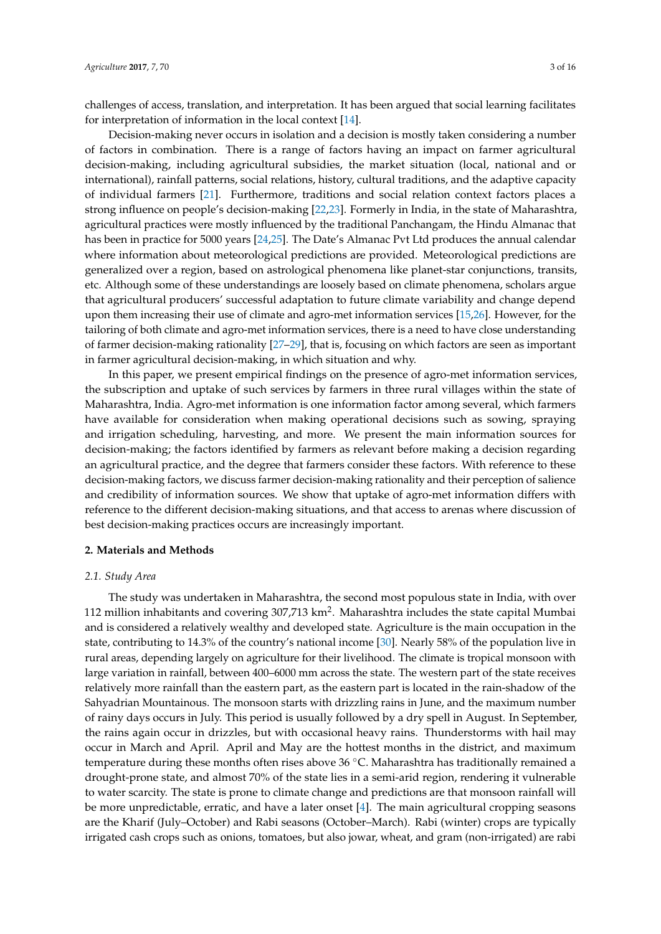challenges of access, translation, and interpretation. It has been argued that social learning facilitates for interpretation of information in the local context [\[14\]](#page-13-10).

Decision-making never occurs in isolation and a decision is mostly taken considering a number of factors in combination. There is a range of factors having an impact on farmer agricultural decision-making, including agricultural subsidies, the market situation (local, national and or international), rainfall patterns, social relations, history, cultural traditions, and the adaptive capacity of individual farmers [\[21\]](#page-13-16). Furthermore, traditions and social relation context factors places a strong influence on people's decision-making [\[22](#page-13-17)[,23\]](#page-13-18). Formerly in India, in the state of Maharashtra, agricultural practices were mostly influenced by the traditional Panchangam, the Hindu Almanac that has been in practice for 5000 years [\[24](#page-14-0)[,25\]](#page-14-1). The Date's Almanac Pvt Ltd produces the annual calendar where information about meteorological predictions are provided. Meteorological predictions are generalized over a region, based on astrological phenomena like planet-star conjunctions, transits, etc. Although some of these understandings are loosely based on climate phenomena, scholars argue that agricultural producers' successful adaptation to future climate variability and change depend upon them increasing their use of climate and agro-met information services [\[15,](#page-13-19)[26\]](#page-14-2). However, for the tailoring of both climate and agro-met information services, there is a need to have close understanding of farmer decision-making rationality [\[27](#page-14-3)[–29\]](#page-14-4), that is, focusing on which factors are seen as important in farmer agricultural decision-making, in which situation and why.

In this paper, we present empirical findings on the presence of agro-met information services, the subscription and uptake of such services by farmers in three rural villages within the state of Maharashtra, India. Agro-met information is one information factor among several, which farmers have available for consideration when making operational decisions such as sowing, spraying and irrigation scheduling, harvesting, and more. We present the main information sources for decision-making; the factors identified by farmers as relevant before making a decision regarding an agricultural practice, and the degree that farmers consider these factors. With reference to these decision-making factors, we discuss farmer decision-making rationality and their perception of salience and credibility of information sources. We show that uptake of agro-met information differs with reference to the different decision-making situations, and that access to arenas where discussion of best decision-making practices occurs are increasingly important.

#### **2. Materials and Methods**

#### *2.1. Study Area*

The study was undertaken in Maharashtra, the second most populous state in India, with over 112 million inhabitants and covering 307,713 km<sup>2</sup>. Maharashtra includes the state capital Mumbai and is considered a relatively wealthy and developed state. Agriculture is the main occupation in the state, contributing to 14.3% of the country's national income [\[30\]](#page-14-5). Nearly 58% of the population live in rural areas, depending largely on agriculture for their livelihood. The climate is tropical monsoon with large variation in rainfall, between 400–6000 mm across the state. The western part of the state receives relatively more rainfall than the eastern part, as the eastern part is located in the rain-shadow of the Sahyadrian Mountainous. The monsoon starts with drizzling rains in June, and the maximum number of rainy days occurs in July. This period is usually followed by a dry spell in August. In September, the rains again occur in drizzles, but with occasional heavy rains. Thunderstorms with hail may occur in March and April. April and May are the hottest months in the district, and maximum temperature during these months often rises above 36 ◦C. Maharashtra has traditionally remained a drought-prone state, and almost 70% of the state lies in a semi-arid region, rendering it vulnerable to water scarcity. The state is prone to climate change and predictions are that monsoon rainfall will be more unpredictable, erratic, and have a later onset [\[4\]](#page-13-0). The main agricultural cropping seasons are the Kharif (July–October) and Rabi seasons (October–March). Rabi (winter) crops are typically irrigated cash crops such as onions, tomatoes, but also jowar, wheat, and gram (non-irrigated) are rabi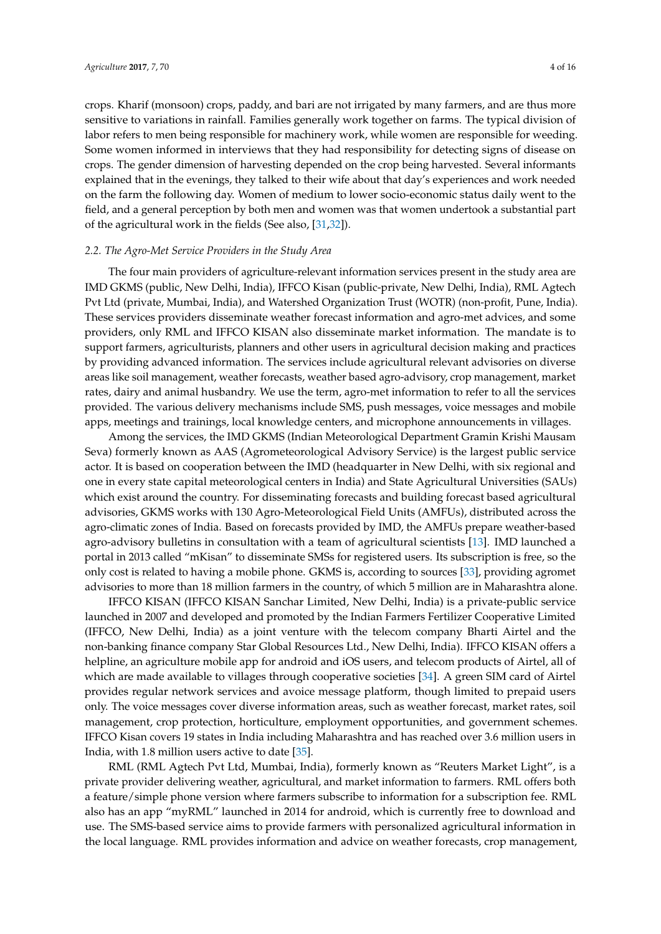crops. Kharif (monsoon) crops, paddy, and bari are not irrigated by many farmers, and are thus more sensitive to variations in rainfall. Families generally work together on farms. The typical division of labor refers to men being responsible for machinery work, while women are responsible for weeding. Some women informed in interviews that they had responsibility for detecting signs of disease on crops. The gender dimension of harvesting depended on the crop being harvested. Several informants explained that in the evenings, they talked to their wife about that day's experiences and work needed on the farm the following day. Women of medium to lower socio-economic status daily went to the field, and a general perception by both men and women was that women undertook a substantial part of the agricultural work in the fields (See also, [\[31](#page-14-6)[,32\]](#page-14-7)).

#### *2.2. The Agro-Met Service Providers in the Study Area*

The four main providers of agriculture-relevant information services present in the study area are IMD GKMS (public, New Delhi, India), IFFCO Kisan (public-private, New Delhi, India), RML Agtech Pvt Ltd (private, Mumbai, India), and Watershed Organization Trust (WOTR) (non-profit, Pune, India). These services providers disseminate weather forecast information and agro-met advices, and some providers, only RML and IFFCO KISAN also disseminate market information. The mandate is to support farmers, agriculturists, planners and other users in agricultural decision making and practices by providing advanced information. The services include agricultural relevant advisories on diverse areas like soil management, weather forecasts, weather based agro-advisory, crop management, market rates, dairy and animal husbandry. We use the term, agro-met information to refer to all the services provided. The various delivery mechanisms include SMS, push messages, voice messages and mobile apps, meetings and trainings, local knowledge centers, and microphone announcements in villages.

Among the services, the IMD GKMS (Indian Meteorological Department Gramin Krishi Mausam Seva) formerly known as AAS (Agrometeorological Advisory Service) is the largest public service actor. It is based on cooperation between the IMD (headquarter in New Delhi, with six regional and one in every state capital meteorological centers in India) and State Agricultural Universities (SAUs) which exist around the country. For disseminating forecasts and building forecast based agricultural advisories, GKMS works with 130 Agro-Meteorological Field Units (AMFUs), distributed across the agro-climatic zones of India. Based on forecasts provided by IMD, the AMFUs prepare weather-based agro-advisory bulletins in consultation with a team of agricultural scientists [\[13\]](#page-13-9). IMD launched a portal in 2013 called "mKisan" to disseminate SMSs for registered users. Its subscription is free, so the only cost is related to having a mobile phone. GKMS is, according to sources [\[33\]](#page-14-8), providing agromet advisories to more than 18 million farmers in the country, of which 5 million are in Maharashtra alone.

IFFCO KISAN (IFFCO KISAN Sanchar Limited, New Delhi, India) is a private-public service launched in 2007 and developed and promoted by the Indian Farmers Fertilizer Cooperative Limited (IFFCO, New Delhi, India) as a joint venture with the telecom company Bharti Airtel and the non-banking finance company Star Global Resources Ltd., New Delhi, India). IFFCO KISAN offers a helpline, an agriculture mobile app for android and iOS users, and telecom products of Airtel, all of which are made available to villages through cooperative societies [\[34\]](#page-14-9). A green SIM card of Airtel provides regular network services and avoice message platform, though limited to prepaid users only. The voice messages cover diverse information areas, such as weather forecast, market rates, soil management, crop protection, horticulture, employment opportunities, and government schemes. IFFCO Kisan covers 19 states in India including Maharashtra and has reached over 3.6 million users in India, with 1.8 million users active to date [\[35\]](#page-14-10).

RML (RML Agtech Pvt Ltd, Mumbai, India), formerly known as "Reuters Market Light", is a private provider delivering weather, agricultural, and market information to farmers. RML offers both a feature/simple phone version where farmers subscribe to information for a subscription fee. RML also has an app "myRML" launched in 2014 for android, which is currently free to download and use. The SMS-based service aims to provide farmers with personalized agricultural information in the local language. RML provides information and advice on weather forecasts, crop management,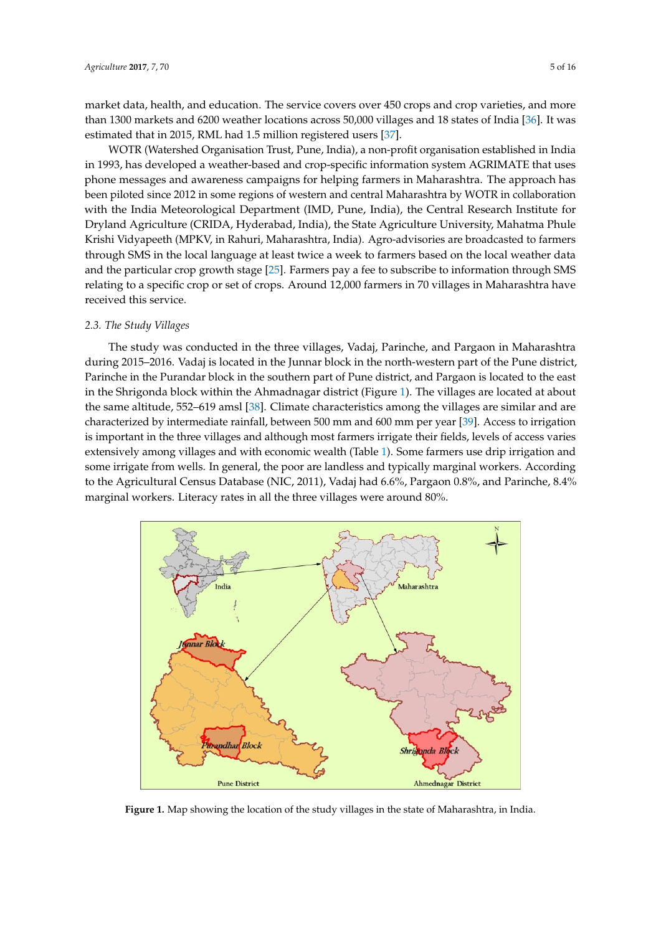market data, health, and education. The service covers over 450 crops and crop varieties, and more market data, health, and education. The service covers over 450 crops and crop varieties, and more than 1300 markets and 6200 weather locations across 50,000 villages and 18 states of India [\[36\]](#page-14-11). It was than 1300 markets and 6200 weather locations across 50,000 villages and 18 states of India [36]. It was estimated that in 2015, RML had 1.5 million registered users [\[37\]](#page-14-12). estimated that in 2015, RML had 1.5 million registered users [37].

WOTR (Watershed Organisation Trust, Pune, India), a non-profit organisation established in India WOTR (Watershed Organisation Trust, Pune, India), a non‐profit organisation established in in 1993, has developed a weather-based and crop-specific information system AGRIMATE that uses phone messages and awareness campaigns for helping farmers in Maharashtra. The approach has uses phone messages and awareness campaigns for helping farmers in Maharashtra. The approach been piloted since 2012 in some regions of western and central Maharashtra by WOTR in collaboration has been piloted since 2012 in some regions of western and central Maharashtra by WOTR in with the India Meteorological Department (IMD, Pune, India), the Central Research Institute for Dryland Agriculture (CRIDA, Hyderabad, India), the State Agriculture University, Mahatma Phule Krishi Vidyapeeth (MPKV, in Rahuri, Maharashtra, India). Agro-advisories are broadcasted to farmers through SMS in the local language at least twice a week to farmers based on the local weather data and the particular crop growth stage [\[25\]](#page-14-1). Farmers pay a fee to subscribe to information through SMS relating to a specific crop or set of crops. Around 12,000 farmers in 70 villages in Maharashtra have received this service.

# *2.3. The Study Villages 2.3. The Study Villages*

The study was conducted in the three villages, Vadaj, Parinche, and Pargaon in Maharashtra The study was conducted in the three villages, Vadaj, Parinche, and Pargaon in Maharashtra during 2015–2016. Vadaj is located in the Junnar block in the north-western part of the Pune district, during 2015–2016. Vadaj is located in the Junnar block in the north‐western part of the Pune district, Parinche in the Purandar block in the southern part of Pune district, and Pargaon is located to the east Parinche in the Purandar block in the southern part of Pune district, and Pargaon is located to the in the Shr[ig](#page-4-0)onda block within the Ahmadnagar district (Figure 1). The villages are located at about the same altitude, 552–619 amsl [\[38\]](#page-14-13). Climate characteristics among the villages are similar and are characterized by intermediate rainfall, between 500 mm and 600 mm per year [\[39\]](#page-14-14). Access to irrigation is important in the three villages and although most farmers irrigate their fields, levels of access varies extensively among villages and with economic wealth (Table [1\)](#page-5-0). Some farmers use drip irrigation and some irrigate from wells. In general, the poor are landless and typically marginal workers. According to the Agricultural Census Database (NIC, 2011), Vadaj had 6.6%, Pargaon 0.8%, and Parinche, 8.4% marginal workers. Literacy rates in all the three villages were around 80%.

<span id="page-4-0"></span>

**Figure 1.** Map showing the location of the study villages in the state of Maharashtra, in India. **Figure 1.** Map showing the location of the study villages in the state of Maharashtra, in India.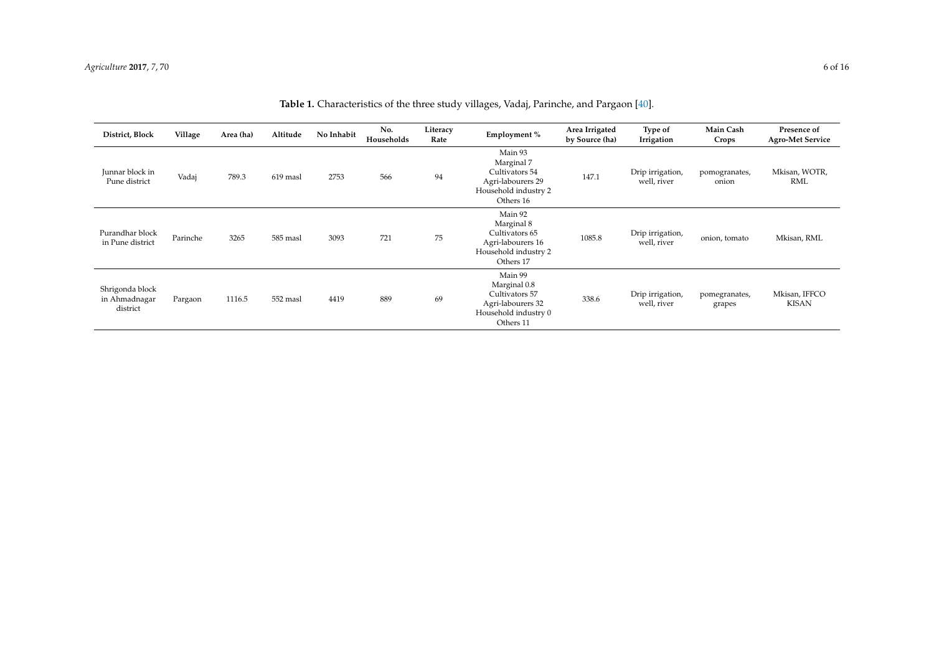<span id="page-5-0"></span>

| District, Block                              | Village  | Area (ha) | Altitude | No Inhabit | No.<br>Households | Literacy<br>Rate | Employment %                                                                                        | Area Irrigated<br>by Source (ha) | Type of<br>Irrigation           | Main Cash<br>Crops      | Presence of<br><b>Agro-Met Service</b> |
|----------------------------------------------|----------|-----------|----------|------------|-------------------|------------------|-----------------------------------------------------------------------------------------------------|----------------------------------|---------------------------------|-------------------------|----------------------------------------|
| Junnar block in<br>Pune district             | Vadaj    | 789.3     | 619 masl | 2753       | 566               | 94               | Main 93<br>Marginal 7<br>Cultivators 54<br>Agri-labourers 29<br>Household industry 2<br>Others 16   | 147.1                            | Drip irrigation,<br>well, river | pomogranates,<br>onion  | Mkisan, WOTR,<br>RML                   |
| Purandhar block<br>in Pune district          | Parinche | 3265      | 585 masl | 3093       | 721               | 75               | Main 92<br>Marginal 8<br>Cultivators 65<br>Agri-labourers 16<br>Household industry 2<br>Others 17   | 1085.8                           | Drip irrigation,<br>well, river | onion, tomato           | Mkisan, RML                            |
| Shrigonda block<br>in Ahmadnagar<br>district | Pargaon  | 1116.5    | 552 masl | 4419       | 889               | 69               | Main 99<br>Marginal 0.8<br>Cultivators 57<br>Agri-labourers 32<br>Household industry 0<br>Others 11 | 338.6                            | Drip irrigation,<br>well, river | pomegranates,<br>grapes | Mkisan, IFFCO<br><b>KISAN</b>          |

**Table 1.** Characteristics of the three study villages, Vadaj, Parinche, and Pargaon [\[40\]](#page-14-15).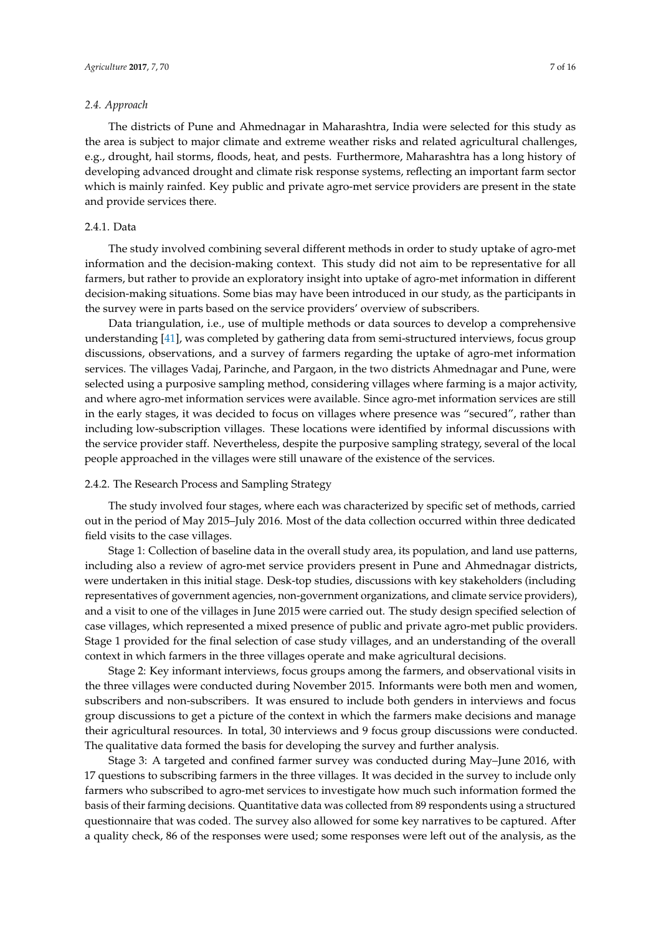#### *2.4. Approach*

The districts of Pune and Ahmednagar in Maharashtra, India were selected for this study as the area is subject to major climate and extreme weather risks and related agricultural challenges, e.g., drought, hail storms, floods, heat, and pests. Furthermore, Maharashtra has a long history of developing advanced drought and climate risk response systems, reflecting an important farm sector which is mainly rainfed. Key public and private agro-met service providers are present in the state and provide services there.

#### 2.4.1. Data

The study involved combining several different methods in order to study uptake of agro-met information and the decision-making context. This study did not aim to be representative for all farmers, but rather to provide an exploratory insight into uptake of agro-met information in different decision-making situations. Some bias may have been introduced in our study, as the participants in the survey were in parts based on the service providers' overview of subscribers.

Data triangulation, i.e., use of multiple methods or data sources to develop a comprehensive understanding [\[41\]](#page-14-16), was completed by gathering data from semi-structured interviews, focus group discussions, observations, and a survey of farmers regarding the uptake of agro-met information services. The villages Vadaj, Parinche, and Pargaon, in the two districts Ahmednagar and Pune, were selected using a purposive sampling method, considering villages where farming is a major activity, and where agro-met information services were available. Since agro-met information services are still in the early stages, it was decided to focus on villages where presence was "secured", rather than including low-subscription villages. These locations were identified by informal discussions with the service provider staff. Nevertheless, despite the purposive sampling strategy, several of the local people approached in the villages were still unaware of the existence of the services.

#### 2.4.2. The Research Process and Sampling Strategy

The study involved four stages, where each was characterized by specific set of methods, carried out in the period of May 2015–July 2016. Most of the data collection occurred within three dedicated field visits to the case villages.

Stage 1: Collection of baseline data in the overall study area, its population, and land use patterns, including also a review of agro-met service providers present in Pune and Ahmednagar districts, were undertaken in this initial stage. Desk-top studies, discussions with key stakeholders (including representatives of government agencies, non-government organizations, and climate service providers), and a visit to one of the villages in June 2015 were carried out. The study design specified selection of case villages, which represented a mixed presence of public and private agro-met public providers. Stage 1 provided for the final selection of case study villages, and an understanding of the overall context in which farmers in the three villages operate and make agricultural decisions.

Stage 2: Key informant interviews, focus groups among the farmers, and observational visits in the three villages were conducted during November 2015. Informants were both men and women, subscribers and non-subscribers. It was ensured to include both genders in interviews and focus group discussions to get a picture of the context in which the farmers make decisions and manage their agricultural resources. In total, 30 interviews and 9 focus group discussions were conducted. The qualitative data formed the basis for developing the survey and further analysis.

Stage 3: A targeted and confined farmer survey was conducted during May–June 2016, with 17 questions to subscribing farmers in the three villages. It was decided in the survey to include only farmers who subscribed to agro-met services to investigate how much such information formed the basis of their farming decisions. Quantitative data was collected from 89 respondents using a structured questionnaire that was coded. The survey also allowed for some key narratives to be captured. After a quality check, 86 of the responses were used; some responses were left out of the analysis, as the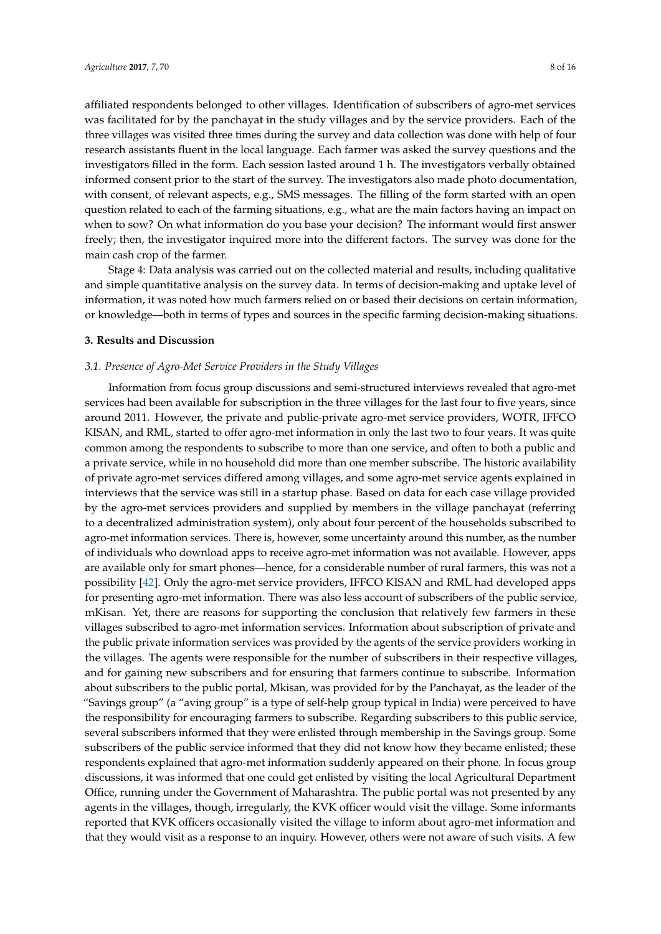affiliated respondents belonged to other villages. Identification of subscribers of agro-met services was facilitated for by the panchayat in the study villages and by the service providers. Each of the three villages was visited three times during the survey and data collection was done with help of four research assistants fluent in the local language. Each farmer was asked the survey questions and the investigators filled in the form. Each session lasted around 1 h. The investigators verbally obtained informed consent prior to the start of the survey. The investigators also made photo documentation, with consent, of relevant aspects, e.g., SMS messages. The filling of the form started with an open question related to each of the farming situations, e.g., what are the main factors having an impact on when to sow? On what information do you base your decision? The informant would first answer freely; then, the investigator inquired more into the different factors. The survey was done for the

Stage 4: Data analysis was carried out on the collected material and results, including qualitative and simple quantitative analysis on the survey data. In terms of decision-making and uptake level of information, it was noted how much farmers relied on or based their decisions on certain information, or knowledge—both in terms of types and sources in the specific farming decision-making situations.

#### **3. Results and Discussion**

main cash crop of the farmer.

#### *3.1. Presence of Agro-Met Service Providers in the Study Villages*

Information from focus group discussions and semi-structured interviews revealed that agro-met services had been available for subscription in the three villages for the last four to five years, since around 2011. However, the private and public-private agro-met service providers, WOTR, IFFCO KISAN, and RML, started to offer agro-met information in only the last two to four years. It was quite common among the respondents to subscribe to more than one service, and often to both a public and a private service, while in no household did more than one member subscribe. The historic availability of private agro-met services differed among villages, and some agro-met service agents explained in interviews that the service was still in a startup phase. Based on data for each case village provided by the agro-met services providers and supplied by members in the village panchayat (referring to a decentralized administration system), only about four percent of the households subscribed to agro-met information services. There is, however, some uncertainty around this number, as the number of individuals who download apps to receive agro-met information was not available. However, apps are available only for smart phones—hence, for a considerable number of rural farmers, this was not a possibility [\[42\]](#page-14-17). Only the agro-met service providers, IFFCO KISAN and RML had developed apps for presenting agro-met information. There was also less account of subscribers of the public service, mKisan. Yet, there are reasons for supporting the conclusion that relatively few farmers in these villages subscribed to agro-met information services. Information about subscription of private and the public private information services was provided by the agents of the service providers working in the villages. The agents were responsible for the number of subscribers in their respective villages, and for gaining new subscribers and for ensuring that farmers continue to subscribe. Information about subscribers to the public portal, Mkisan, was provided for by the Panchayat, as the leader of the "Savings group" (a "aving group" is a type of self-help group typical in India) were perceived to have the responsibility for encouraging farmers to subscribe. Regarding subscribers to this public service, several subscribers informed that they were enlisted through membership in the Savings group. Some subscribers of the public service informed that they did not know how they became enlisted; these respondents explained that agro-met information suddenly appeared on their phone. In focus group discussions, it was informed that one could get enlisted by visiting the local Agricultural Department Office, running under the Government of Maharashtra. The public portal was not presented by any agents in the villages, though, irregularly, the KVK officer would visit the village. Some informants reported that KVK officers occasionally visited the village to inform about agro-met information and that they would visit as a response to an inquiry. However, others were not aware of such visits. A few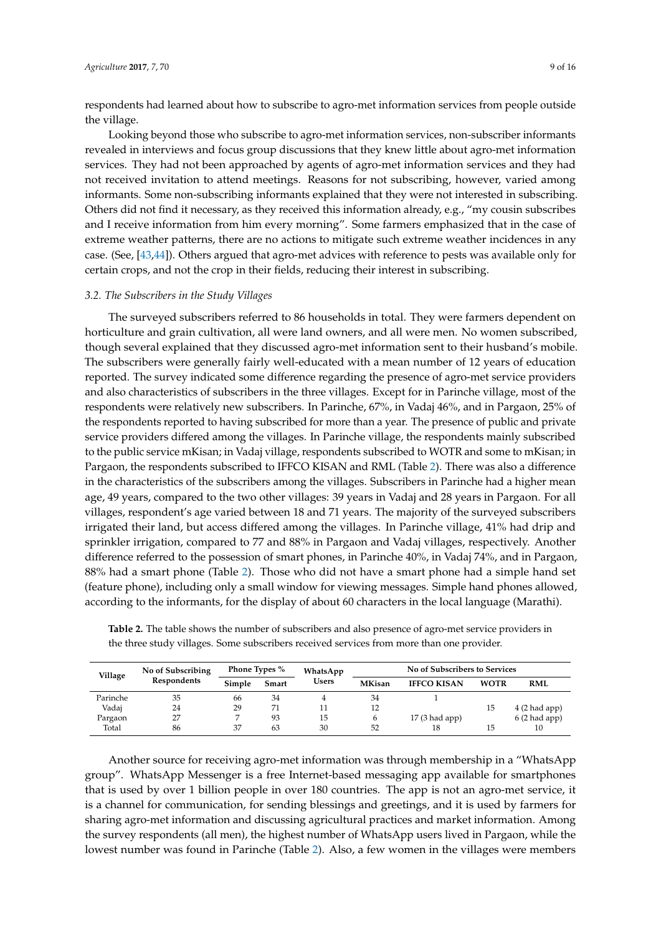respondents had learned about how to subscribe to agro-met information services from people outside the village.

Looking beyond those who subscribe to agro-met information services, non-subscriber informants revealed in interviews and focus group discussions that they knew little about agro-met information services. They had not been approached by agents of agro-met information services and they had not received invitation to attend meetings. Reasons for not subscribing, however, varied among informants. Some non-subscribing informants explained that they were not interested in subscribing. Others did not find it necessary, as they received this information already, e.g., "my cousin subscribes and I receive information from him every morning". Some farmers emphasized that in the case of extreme weather patterns, there are no actions to mitigate such extreme weather incidences in any case. (See, [\[43](#page-14-18)[,44\]](#page-14-19)). Others argued that agro-met advices with reference to pests was available only for certain crops, and not the crop in their fields, reducing their interest in subscribing.

#### *3.2. The Subscribers in the Study Villages*

The surveyed subscribers referred to 86 households in total. They were farmers dependent on horticulture and grain cultivation, all were land owners, and all were men. No women subscribed, though several explained that they discussed agro-met information sent to their husband's mobile. The subscribers were generally fairly well-educated with a mean number of 12 years of education reported. The survey indicated some difference regarding the presence of agro-met service providers and also characteristics of subscribers in the three villages. Except for in Parinche village, most of the respondents were relatively new subscribers. In Parinche, 67%, in Vadaj 46%, and in Pargaon, 25% of the respondents reported to having subscribed for more than a year. The presence of public and private service providers differed among the villages. In Parinche village, the respondents mainly subscribed to the public service mKisan; in Vadaj village, respondents subscribed to WOTR and some to mKisan; in Pargaon, the respondents subscribed to IFFCO KISAN and RML (Table [2\)](#page-8-0). There was also a difference in the characteristics of the subscribers among the villages. Subscribers in Parinche had a higher mean age, 49 years, compared to the two other villages: 39 years in Vadaj and 28 years in Pargaon. For all villages, respondent's age varied between 18 and 71 years. The majority of the surveyed subscribers irrigated their land, but access differed among the villages. In Parinche village, 41% had drip and sprinkler irrigation, compared to 77 and 88% in Pargaon and Vadaj villages, respectively. Another difference referred to the possession of smart phones, in Parinche 40%, in Vadaj 74%, and in Pargaon, 88% had a smart phone (Table [2\)](#page-8-0). Those who did not have a smart phone had a simple hand set (feature phone), including only a small window for viewing messages. Simple hand phones allowed, according to the informants, for the display of about 60 characters in the local language (Marathi).

| Village  | No of Subscribing | <b>Phone Types %</b> |       | WhatsApp     | No of Subscribers to Services |                    |             |                |  |
|----------|-------------------|----------------------|-------|--------------|-------------------------------|--------------------|-------------|----------------|--|
|          | Respondents       | Simple               | Smart | <b>Users</b> | <b>MKisan</b>                 | <b>IFFCO KISAN</b> | <b>WOTR</b> | <b>RML</b>     |  |
| Parinche | 35                | 66                   | 34    |              | 34                            |                    |             |                |  |
| Vadaj    | 24                | 29                   | 71    | 11           | 12                            |                    | 15          | 4(2 had app)   |  |
| Pargaon  | 27                |                      | 93    | 15           | b                             | $17(3$ had app)    |             | $6(2$ had app) |  |
| Total    | 86                | 37                   | 63    | 30           | 52                            | 18                 | 15          | 10             |  |

<span id="page-8-0"></span>**Table 2.** The table shows the number of subscribers and also presence of agro-met service providers in the three study villages. Some subscribers received services from more than one provider.

Another source for receiving agro-met information was through membership in a "WhatsApp group". WhatsApp Messenger is a free Internet-based messaging app available for smartphones that is used by over 1 billion people in over 180 countries. The app is not an agro-met service, it is a channel for communication, for sending blessings and greetings, and it is used by farmers for sharing agro-met information and discussing agricultural practices and market information. Among the survey respondents (all men), the highest number of WhatsApp users lived in Pargaon, while the lowest number was found in Parinche (Table [2\)](#page-8-0). Also, a few women in the villages were members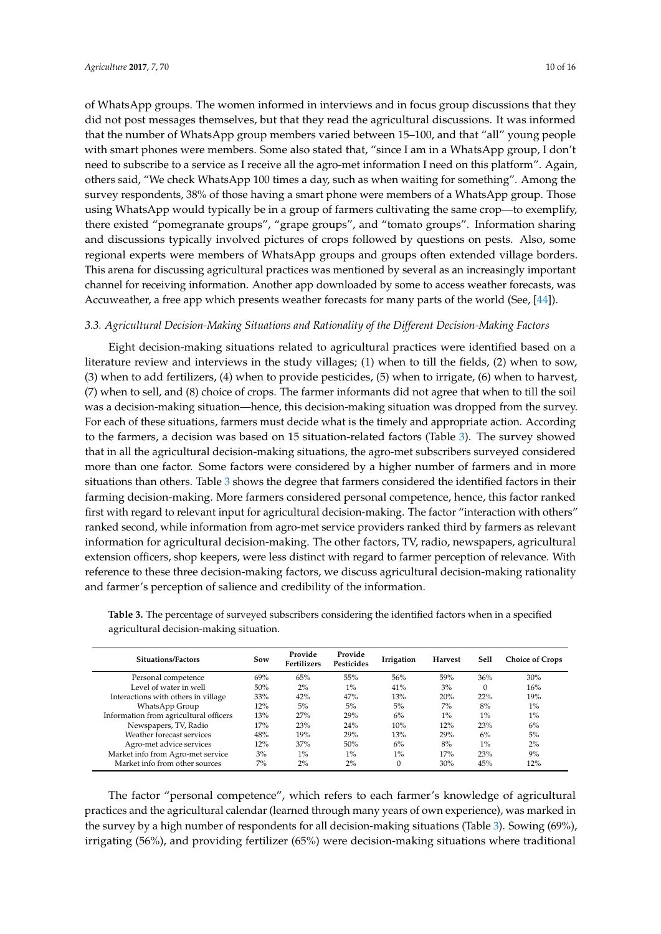of WhatsApp groups. The women informed in interviews and in focus group discussions that they did not post messages themselves, but that they read the agricultural discussions. It was informed that the number of WhatsApp group members varied between 15–100, and that "all" young people with smart phones were members. Some also stated that, "since I am in a WhatsApp group, I don't need to subscribe to a service as I receive all the agro-met information I need on this platform". Again, others said, "We check WhatsApp 100 times a day, such as when waiting for something". Among the survey respondents, 38% of those having a smart phone were members of a WhatsApp group. Those using WhatsApp would typically be in a group of farmers cultivating the same crop—to exemplify, there existed "pomegranate groups", "grape groups", and "tomato groups". Information sharing and discussions typically involved pictures of crops followed by questions on pests. Also, some regional experts were members of WhatsApp groups and groups often extended village borders. This arena for discussing agricultural practices was mentioned by several as an increasingly important channel for receiving information. Another app downloaded by some to access weather forecasts, was Accuweather, a free app which presents weather forecasts for many parts of the world (See, [\[44\]](#page-14-19)).

### *3.3. Agricultural Decision-Making Situations and Rationality of the Different Decision-Making Factors*

Eight decision-making situations related to agricultural practices were identified based on a literature review and interviews in the study villages; (1) when to till the fields, (2) when to sow, (3) when to add fertilizers, (4) when to provide pesticides, (5) when to irrigate, (6) when to harvest, (7) when to sell, and (8) choice of crops. The farmer informants did not agree that when to till the soil was a decision-making situation—hence, this decision-making situation was dropped from the survey. For each of these situations, farmers must decide what is the timely and appropriate action. According to the farmers, a decision was based on 15 situation-related factors (Table [3\)](#page-9-0). The survey showed that in all the agricultural decision-making situations, the agro-met subscribers surveyed considered more than one factor. Some factors were considered by a higher number of farmers and in more situations than others. Table [3](#page-9-0) shows the degree that farmers considered the identified factors in their farming decision-making. More farmers considered personal competence, hence, this factor ranked first with regard to relevant input for agricultural decision-making. The factor "interaction with others" ranked second, while information from agro-met service providers ranked third by farmers as relevant information for agricultural decision-making. The other factors, TV, radio, newspapers, agricultural extension officers, shop keepers, were less distinct with regard to farmer perception of relevance. With reference to these three decision-making factors, we discuss agricultural decision-making rationality and farmer's perception of salience and credibility of the information.

| <b>Situations/Factors</b>              | Sow | Provide<br><b>Fertilizers</b> | Provide<br><b>Pesticides</b> | Irrigation | <b>Harvest</b> | Sell  | <b>Choice of Crops</b> |
|----------------------------------------|-----|-------------------------------|------------------------------|------------|----------------|-------|------------------------|
| Personal competence                    | 69% | 65%                           | 55%                          | 56%        | .59%           | 36%   | 30%                    |
| Level of water in well                 | 50% | 2%                            | $1\%$                        | 41%        | 3%             |       | 16%                    |
| Interactions with others in village    | 33% | 42%                           | 47%                          | 13%        | 20%            | 22%   | 19%                    |
| WhatsApp Group                         | 12% | 5%                            | 5%                           | 5%         | 7%             | 8%    | $1\%$                  |
| Information from agricultural officers | 13% | 27%                           | 29%                          | 6%         | $1\%$          | $1\%$ | $1\%$                  |
| Newspapers, TV, Radio                  | 17% | 23%                           | 24%                          | 10%        | 12%            | 23%   | 6%                     |
| Weather forecast services              | 48% | 19%                           | 29%                          | 13%        | 29%            | 6%    | 5%                     |
| Agro-met advice services               | 12% | 37%                           | 50%                          | 6%         | 8%             | $1\%$ | 2%                     |
| Market info from Agro-met service      | 3%  | $1\%$                         | $1\%$                        | $1\%$      | 17%            | 23%   | 9%                     |
| Market info from other sources         | 7%  | $2\%$                         | 2%                           | $\Omega$   | 30%            | 45%   | 12%                    |

<span id="page-9-0"></span>**Table 3.** The percentage of surveyed subscribers considering the identified factors when in a specified agricultural decision-making situation.

The factor "personal competence", which refers to each farmer's knowledge of agricultural practices and the agricultural calendar (learned through many years of own experience), was marked in the survey by a high number of respondents for all decision-making situations (Table [3\)](#page-9-0). Sowing (69%), irrigating (56%), and providing fertilizer (65%) were decision-making situations where traditional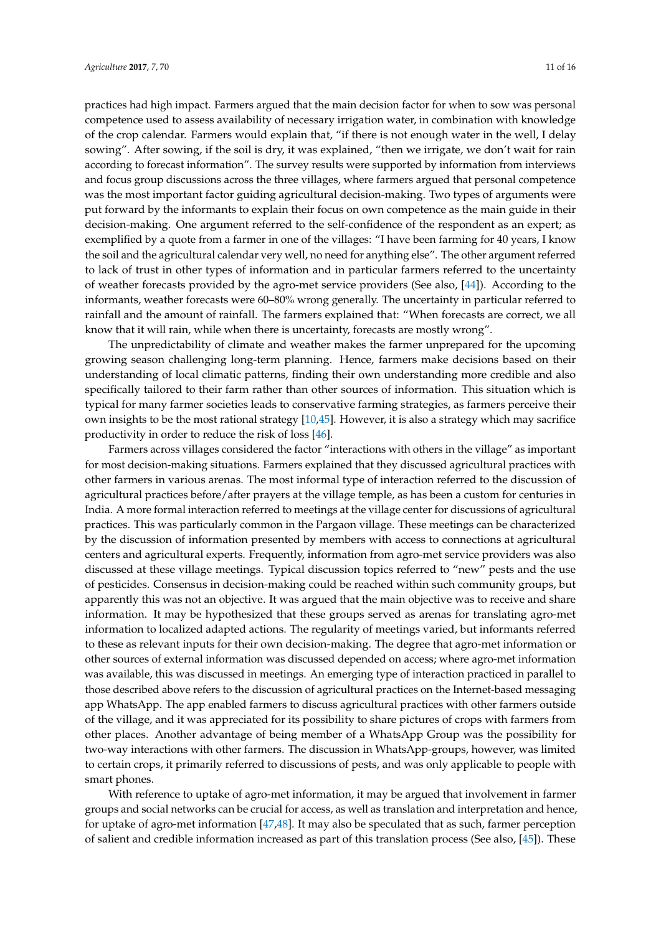practices had high impact. Farmers argued that the main decision factor for when to sow was personal competence used to assess availability of necessary irrigation water, in combination with knowledge of the crop calendar. Farmers would explain that, "if there is not enough water in the well, I delay sowing". After sowing, if the soil is dry, it was explained, "then we irrigate, we don't wait for rain according to forecast information". The survey results were supported by information from interviews and focus group discussions across the three villages, where farmers argued that personal competence was the most important factor guiding agricultural decision-making. Two types of arguments were put forward by the informants to explain their focus on own competence as the main guide in their decision-making. One argument referred to the self-confidence of the respondent as an expert; as exemplified by a quote from a farmer in one of the villages: "I have been farming for 40 years, I know the soil and the agricultural calendar very well, no need for anything else". The other argument referred to lack of trust in other types of information and in particular farmers referred to the uncertainty of weather forecasts provided by the agro-met service providers (See also, [\[44\]](#page-14-19)). According to the informants, weather forecasts were 60–80% wrong generally. The uncertainty in particular referred to rainfall and the amount of rainfall. The farmers explained that: "When forecasts are correct, we all know that it will rain, while when there is uncertainty, forecasts are mostly wrong".

The unpredictability of climate and weather makes the farmer unprepared for the upcoming growing season challenging long-term planning. Hence, farmers make decisions based on their understanding of local climatic patterns, finding their own understanding more credible and also specifically tailored to their farm rather than other sources of information. This situation which is typical for many farmer societies leads to conservative farming strategies, as farmers perceive their own insights to be the most rational strategy [\[10](#page-13-6)[,45\]](#page-14-20). However, it is also a strategy which may sacrifice productivity in order to reduce the risk of loss [\[46\]](#page-14-21).

Farmers across villages considered the factor "interactions with others in the village" as important for most decision-making situations. Farmers explained that they discussed agricultural practices with other farmers in various arenas. The most informal type of interaction referred to the discussion of agricultural practices before/after prayers at the village temple, as has been a custom for centuries in India. A more formal interaction referred to meetings at the village center for discussions of agricultural practices. This was particularly common in the Pargaon village. These meetings can be characterized by the discussion of information presented by members with access to connections at agricultural centers and agricultural experts. Frequently, information from agro-met service providers was also discussed at these village meetings. Typical discussion topics referred to "new" pests and the use of pesticides. Consensus in decision-making could be reached within such community groups, but apparently this was not an objective. It was argued that the main objective was to receive and share information. It may be hypothesized that these groups served as arenas for translating agro-met information to localized adapted actions. The regularity of meetings varied, but informants referred to these as relevant inputs for their own decision-making. The degree that agro-met information or other sources of external information was discussed depended on access; where agro-met information was available, this was discussed in meetings. An emerging type of interaction practiced in parallel to those described above refers to the discussion of agricultural practices on the Internet-based messaging app WhatsApp. The app enabled farmers to discuss agricultural practices with other farmers outside of the village, and it was appreciated for its possibility to share pictures of crops with farmers from other places. Another advantage of being member of a WhatsApp Group was the possibility for two-way interactions with other farmers. The discussion in WhatsApp-groups, however, was limited to certain crops, it primarily referred to discussions of pests, and was only applicable to people with smart phones.

With reference to uptake of agro-met information, it may be argued that involvement in farmer groups and social networks can be crucial for access, as well as translation and interpretation and hence, for uptake of agro-met information [\[47](#page-14-22)[,48\]](#page-14-23). It may also be speculated that as such, farmer perception of salient and credible information increased as part of this translation process (See also, [\[45\]](#page-14-20)). These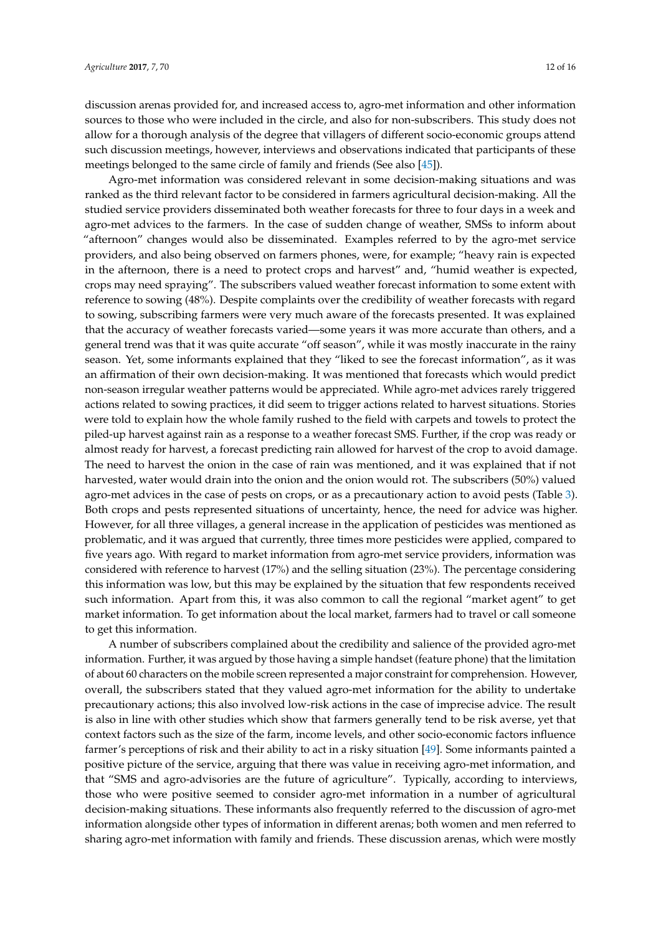discussion arenas provided for, and increased access to, agro-met information and other information sources to those who were included in the circle, and also for non-subscribers. This study does not allow for a thorough analysis of the degree that villagers of different socio-economic groups attend such discussion meetings, however, interviews and observations indicated that participants of these meetings belonged to the same circle of family and friends (See also [\[45\]](#page-14-20)).

Agro-met information was considered relevant in some decision-making situations and was ranked as the third relevant factor to be considered in farmers agricultural decision-making. All the studied service providers disseminated both weather forecasts for three to four days in a week and agro-met advices to the farmers. In the case of sudden change of weather, SMSs to inform about "afternoon" changes would also be disseminated. Examples referred to by the agro-met service providers, and also being observed on farmers phones, were, for example; "heavy rain is expected in the afternoon, there is a need to protect crops and harvest" and, "humid weather is expected, crops may need spraying". The subscribers valued weather forecast information to some extent with reference to sowing (48%). Despite complaints over the credibility of weather forecasts with regard to sowing, subscribing farmers were very much aware of the forecasts presented. It was explained that the accuracy of weather forecasts varied—some years it was more accurate than others, and a general trend was that it was quite accurate "off season", while it was mostly inaccurate in the rainy season. Yet, some informants explained that they "liked to see the forecast information", as it was an affirmation of their own decision-making. It was mentioned that forecasts which would predict non-season irregular weather patterns would be appreciated. While agro-met advices rarely triggered actions related to sowing practices, it did seem to trigger actions related to harvest situations. Stories were told to explain how the whole family rushed to the field with carpets and towels to protect the piled-up harvest against rain as a response to a weather forecast SMS. Further, if the crop was ready or almost ready for harvest, a forecast predicting rain allowed for harvest of the crop to avoid damage. The need to harvest the onion in the case of rain was mentioned, and it was explained that if not harvested, water would drain into the onion and the onion would rot. The subscribers (50%) valued agro-met advices in the case of pests on crops, or as a precautionary action to avoid pests (Table [3\)](#page-9-0). Both crops and pests represented situations of uncertainty, hence, the need for advice was higher. However, for all three villages, a general increase in the application of pesticides was mentioned as problematic, and it was argued that currently, three times more pesticides were applied, compared to five years ago. With regard to market information from agro-met service providers, information was considered with reference to harvest (17%) and the selling situation (23%). The percentage considering this information was low, but this may be explained by the situation that few respondents received such information. Apart from this, it was also common to call the regional "market agent" to get market information. To get information about the local market, farmers had to travel or call someone to get this information.

A number of subscribers complained about the credibility and salience of the provided agro-met information. Further, it was argued by those having a simple handset (feature phone) that the limitation of about 60 characters on the mobile screen represented a major constraint for comprehension. However, overall, the subscribers stated that they valued agro-met information for the ability to undertake precautionary actions; this also involved low-risk actions in the case of imprecise advice. The result is also in line with other studies which show that farmers generally tend to be risk averse, yet that context factors such as the size of the farm, income levels, and other socio-economic factors influence farmer's perceptions of risk and their ability to act in a risky situation [\[49\]](#page-15-0). Some informants painted a positive picture of the service, arguing that there was value in receiving agro-met information, and that "SMS and agro-advisories are the future of agriculture". Typically, according to interviews, those who were positive seemed to consider agro-met information in a number of agricultural decision-making situations. These informants also frequently referred to the discussion of agro-met information alongside other types of information in different arenas; both women and men referred to sharing agro-met information with family and friends. These discussion arenas, which were mostly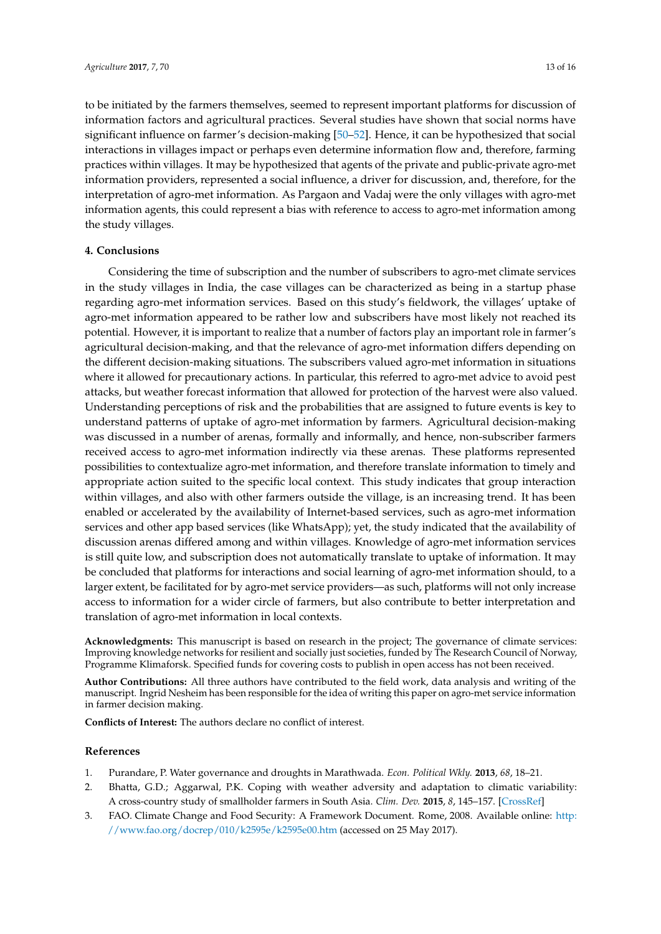to be initiated by the farmers themselves, seemed to represent important platforms for discussion of information factors and agricultural practices. Several studies have shown that social norms have significant influence on farmer's decision-making [\[50–](#page-15-1)[52\]](#page-15-2). Hence, it can be hypothesized that social interactions in villages impact or perhaps even determine information flow and, therefore, farming practices within villages. It may be hypothesized that agents of the private and public-private agro-met information providers, represented a social influence, a driver for discussion, and, therefore, for the interpretation of agro-met information. As Pargaon and Vadaj were the only villages with agro-met information agents, this could represent a bias with reference to access to agro-met information among the study villages.

#### **4. Conclusions**

Considering the time of subscription and the number of subscribers to agro-met climate services in the study villages in India, the case villages can be characterized as being in a startup phase regarding agro-met information services. Based on this study's fieldwork, the villages' uptake of agro-met information appeared to be rather low and subscribers have most likely not reached its potential. However, it is important to realize that a number of factors play an important role in farmer's agricultural decision-making, and that the relevance of agro-met information differs depending on the different decision-making situations. The subscribers valued agro-met information in situations where it allowed for precautionary actions. In particular, this referred to agro-met advice to avoid pest attacks, but weather forecast information that allowed for protection of the harvest were also valued. Understanding perceptions of risk and the probabilities that are assigned to future events is key to understand patterns of uptake of agro-met information by farmers. Agricultural decision-making was discussed in a number of arenas, formally and informally, and hence, non-subscriber farmers received access to agro-met information indirectly via these arenas. These platforms represented possibilities to contextualize agro-met information, and therefore translate information to timely and appropriate action suited to the specific local context. This study indicates that group interaction within villages, and also with other farmers outside the village, is an increasing trend. It has been enabled or accelerated by the availability of Internet-based services, such as agro-met information services and other app based services (like WhatsApp); yet, the study indicated that the availability of discussion arenas differed among and within villages. Knowledge of agro-met information services is still quite low, and subscription does not automatically translate to uptake of information. It may be concluded that platforms for interactions and social learning of agro-met information should, to a larger extent, be facilitated for by agro-met service providers—as such, platforms will not only increase access to information for a wider circle of farmers, but also contribute to better interpretation and translation of agro-met information in local contexts.

**Acknowledgments:** This manuscript is based on research in the project; The governance of climate services: Improving knowledge networks for resilient and socially just societies, funded by The Research Council of Norway, Programme Klimaforsk. Specified funds for covering costs to publish in open access has not been received.

**Author Contributions:** All three authors have contributed to the field work, data analysis and writing of the manuscript. Ingrid Nesheim has been responsible for the idea of writing this paper on agro-met service information in farmer decision making.

**Conflicts of Interest:** The authors declare no conflict of interest.

### **References**

- <span id="page-12-1"></span><span id="page-12-0"></span>1. Purandare, P. Water governance and droughts in Marathwada. *Econ. Political Wkly.* **2013**, *68*, 18–21.
- 2. Bhatta, G.D.; Aggarwal, P.K. Coping with weather adversity and adaptation to climatic variability: A cross-country study of smallholder farmers in South Asia. *Clim. Dev.* **2015**, *8*, 145–157. [\[CrossRef\]](http://dx.doi.org/10.1080/17565529.2015.1016883)
- <span id="page-12-2"></span>3. FAO. Climate Change and Food Security: A Framework Document. Rome, 2008. Available online: [http:](http://www.fao.org/docrep/010/k2595e/k2595e00.htm) [//www.fao.org/docrep/010/k2595e/k2595e00.htm](http://www.fao.org/docrep/010/k2595e/k2595e00.htm) (accessed on 25 May 2017).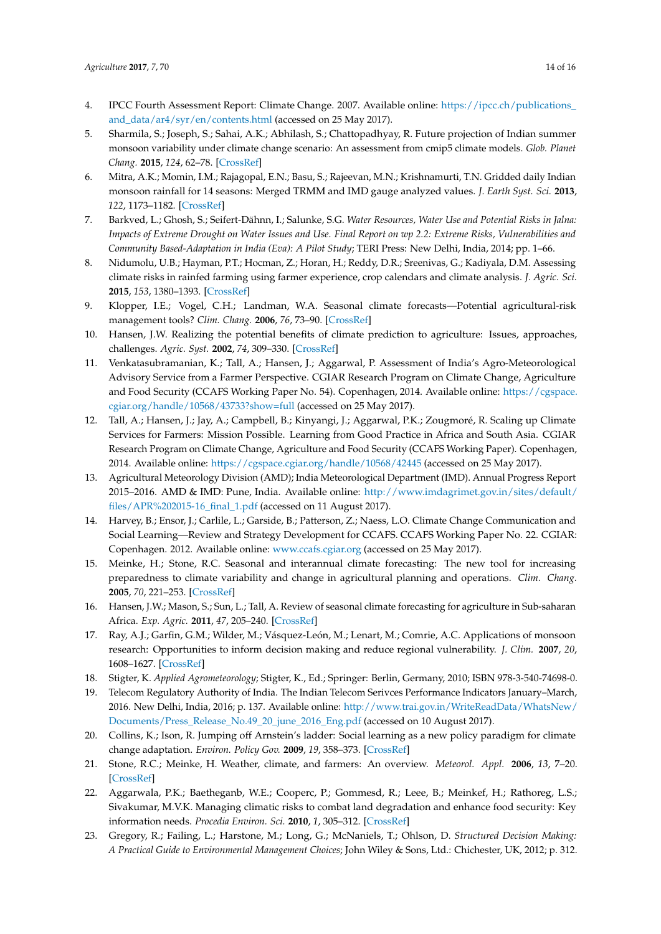- <span id="page-13-0"></span>4. IPCC Fourth Assessment Report: Climate Change. 2007. Available online: [https://ipcc.ch/publications\\_](https://ipcc.ch/publications_and_data/ar4/syr/en/contents.html) [and\\_data/ar4/syr/en/contents.html](https://ipcc.ch/publications_and_data/ar4/syr/en/contents.html) (accessed on 25 May 2017).
- <span id="page-13-1"></span>5. Sharmila, S.; Joseph, S.; Sahai, A.K.; Abhilash, S.; Chattopadhyay, R. Future projection of Indian summer monsoon variability under climate change scenario: An assessment from cmip5 climate models. *Glob. Planet Chang.* **2015**, *124*, 62–78. [\[CrossRef\]](http://dx.doi.org/10.1016/j.gloplacha.2014.11.004)
- <span id="page-13-2"></span>6. Mitra, A.K.; Momin, I.M.; Rajagopal, E.N.; Basu, S.; Rajeevan, M.N.; Krishnamurti, T.N. Gridded daily Indian monsoon rainfall for 14 seasons: Merged TRMM and IMD gauge analyzed values. *J. Earth Syst. Sci.* **2013**, *122*, 1173–1182. [\[CrossRef\]](http://dx.doi.org/10.1007/s12040-013-0338-3)
- <span id="page-13-3"></span>7. Barkved, L.; Ghosh, S.; Seifert-Dähnn, I.; Salunke, S.G. *Water Resources, Water Use and Potential Risks in Jalna: Impacts of Extreme Drought on Water Issues and Use. Final Report on wp 2.2: Extreme Risks, Vulnerabilities and Community Based-Adaptation in India (Eva): A Pilot Study*; TERI Press: New Delhi, India, 2014; pp. 1–66.
- <span id="page-13-4"></span>8. Nidumolu, U.B.; Hayman, P.T.; Hocman, Z.; Horan, H.; Reddy, D.R.; Sreenivas, G.; Kadiyala, D.M. Assessing climate risks in rainfed farming using farmer experience, crop calendars and climate analysis. *J. Agric. Sci.* **2015**, *153*, 1380–1393. [\[CrossRef\]](http://dx.doi.org/10.1017/S0021859615000283)
- <span id="page-13-5"></span>9. Klopper, I.E.; Vogel, C.H.; Landman, W.A. Seasonal climate forecasts—Potential agricultural-risk management tools? *Clim. Chang.* **2006**, *76*, 73–90. [\[CrossRef\]](http://dx.doi.org/10.1007/s10584-005-9019-9)
- <span id="page-13-6"></span>10. Hansen, J.W. Realizing the potential benefits of climate prediction to agriculture: Issues, approaches, challenges. *Agric. Syst.* **2002**, *74*, 309–330. [\[CrossRef\]](http://dx.doi.org/10.1016/S0308-521X(02)00043-4)
- <span id="page-13-7"></span>11. Venkatasubramanian, K.; Tall, A.; Hansen, J.; Aggarwal, P. Assessment of India's Agro-Meteorological Advisory Service from a Farmer Perspective. CGIAR Research Program on Climate Change, Agriculture and Food Security (CCAFS Working Paper No. 54). Copenhagen, 2014. Available online: [https://cgspace.](https://cgspace.cgiar.org/handle/10568/43733?show=full) [cgiar.org/handle/10568/43733?show=full](https://cgspace.cgiar.org/handle/10568/43733?show=full) (accessed on 25 May 2017).
- <span id="page-13-8"></span>12. Tall, A.; Hansen, J.; Jay, A.; Campbell, B.; Kinyangi, J.; Aggarwal, P.K.; Zougmoré, R. Scaling up Climate Services for Farmers: Mission Possible. Learning from Good Practice in Africa and South Asia. CGIAR Research Program on Climate Change, Agriculture and Food Security (CCAFS Working Paper). Copenhagen, 2014. Available online: <https://cgspace.cgiar.org/handle/10568/42445> (accessed on 25 May 2017).
- <span id="page-13-9"></span>13. Agricultural Meteorology Division (AMD); India Meteorological Department (IMD). Annual Progress Report 2015–2016. AMD & IMD: Pune, India. Available online: [http://www.imdagrimet.gov.in/sites/default/](http://www.imdagrimet.gov.in/sites/default/files/APR%202015-16_final_1.pdf) [files/APR%202015-16\\_final\\_1.pdf](http://www.imdagrimet.gov.in/sites/default/files/APR%202015-16_final_1.pdf) (accessed on 11 August 2017).
- <span id="page-13-10"></span>14. Harvey, B.; Ensor, J.; Carlile, L.; Garside, B.; Patterson, Z.; Naess, L.O. Climate Change Communication and Social Learning—Review and Strategy Development for CCAFS. CCAFS Working Paper No. 22. CGIAR: Copenhagen. 2012. Available online: <www.ccafs.cgiar.org> (accessed on 25 May 2017).
- <span id="page-13-19"></span>15. Meinke, H.; Stone, R.C. Seasonal and interannual climate forecasting: The new tool for increasing preparedness to climate variability and change in agricultural planning and operations. *Clim. Chang.* **2005**, *70*, 221–253. [\[CrossRef\]](http://dx.doi.org/10.1007/s10584-005-5948-6)
- <span id="page-13-11"></span>16. Hansen, J.W.; Mason, S.; Sun, L.; Tall, A. Review of seasonal climate forecasting for agriculture in Sub-saharan Africa. *Exp. Agric.* **2011**, *47*, 205–240. [\[CrossRef\]](http://dx.doi.org/10.1017/S0014479710000876)
- <span id="page-13-12"></span>17. Ray, A.J.; Garfin, G.M.; Wilder, M.; Vásquez-León, M.; Lenart, M.; Comrie, A.C. Applications of monsoon research: Opportunities to inform decision making and reduce regional vulnerability. *J. Clim.* **2007**, *20*, 1608–1627. [\[CrossRef\]](http://dx.doi.org/10.1175/JCLI4098.1)
- <span id="page-13-13"></span>18. Stigter, K. *Applied Agrometeorology*; Stigter, K., Ed.; Springer: Berlin, Germany, 2010; ISBN 978-3-540-74698-0.
- <span id="page-13-14"></span>19. Telecom Regulatory Authority of India. The Indian Telecom Serivces Performance Indicators January–March, 2016. New Delhi, India, 2016; p. 137. Available online: [http://www.trai.gov.in/WriteReadData/WhatsNew/](http://www.trai.gov.in/WriteReadData/WhatsNew/Documents/Press_Release_No.49_20_june_2016_Eng.pdf) [Documents/Press\\_Release\\_No.49\\_20\\_june\\_2016\\_Eng.pdf](http://www.trai.gov.in/WriteReadData/WhatsNew/Documents/Press_Release_No.49_20_june_2016_Eng.pdf) (accessed on 10 August 2017).
- <span id="page-13-15"></span>20. Collins, K.; Ison, R. Jumping off Arnstein's ladder: Social learning as a new policy paradigm for climate change adaptation. *Environ. Policy Gov.* **2009**, *19*, 358–373. [\[CrossRef\]](http://dx.doi.org/10.1002/eet.523)
- <span id="page-13-16"></span>21. Stone, R.C.; Meinke, H. Weather, climate, and farmers: An overview. *Meteorol. Appl.* **2006**, *13*, 7–20. [\[CrossRef\]](http://dx.doi.org/10.1017/S1350482706002519)
- <span id="page-13-17"></span>22. Aggarwala, P.K.; Baetheganb, W.E.; Cooperc, P.; Gommesd, R.; Leee, B.; Meinkef, H.; Rathoreg, L.S.; Sivakumar, M.V.K. Managing climatic risks to combat land degradation and enhance food security: Key information needs. *Procedia Environ. Sci.* **2010**, *1*, 305–312. [\[CrossRef\]](http://dx.doi.org/10.1016/j.proenv.2010.09.019)
- <span id="page-13-18"></span>23. Gregory, R.; Failing, L.; Harstone, M.; Long, G.; McNaniels, T.; Ohlson, D. *Structured Decision Making: A Practical Guide to Environmental Management Choices*; John Wiley & Sons, Ltd.: Chichester, UK, 2012; p. 312.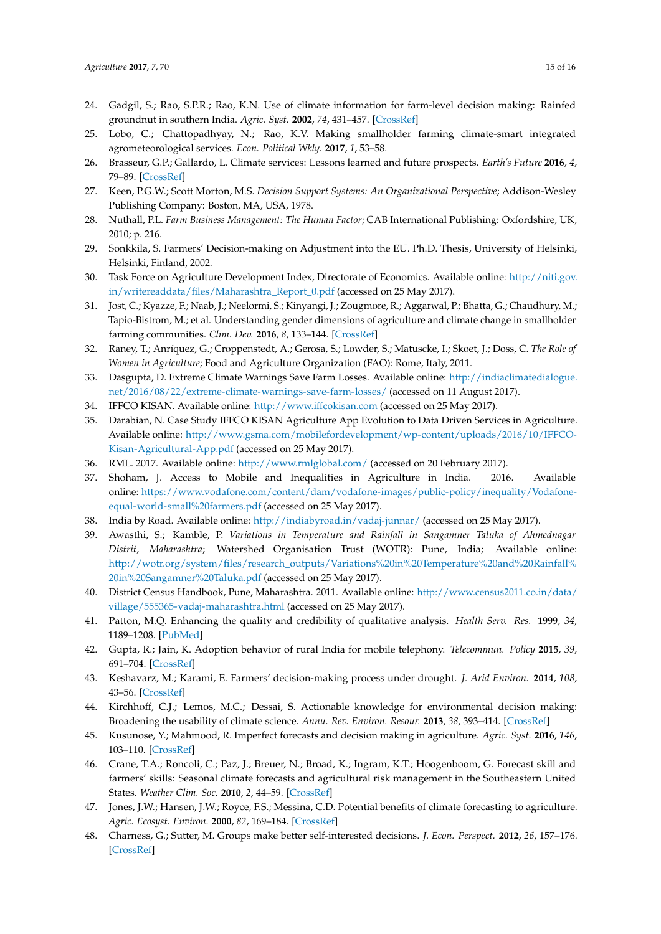- <span id="page-14-0"></span>24. Gadgil, S.; Rao, S.P.R.; Rao, K.N. Use of climate information for farm-level decision making: Rainfed groundnut in southern India. *Agric. Syst.* **2002**, *74*, 431–457. [\[CrossRef\]](http://dx.doi.org/10.1016/S0308-521X(02)00049-5)
- <span id="page-14-1"></span>25. Lobo, C.; Chattopadhyay, N.; Rao, K.V. Making smallholder farming climate-smart integrated agrometeorological services. *Econ. Political Wkly.* **2017**, *1*, 53–58.
- <span id="page-14-2"></span>26. Brasseur, G.P.; Gallardo, L. Climate services: Lessons learned and future prospects. *Earth's Future* **2016**, *4*, 79–89. [\[CrossRef\]](http://dx.doi.org/10.1002/2015EF000338)
- <span id="page-14-3"></span>27. Keen, P.G.W.; Scott Morton, M.S. *Decision Support Systems: An Organizational Perspective*; Addison-Wesley Publishing Company: Boston, MA, USA, 1978.
- 28. Nuthall, P.L. *Farm Business Management: The Human Factor*; CAB International Publishing: Oxfordshire, UK, 2010; p. 216.
- <span id="page-14-4"></span>29. Sonkkila, S. Farmers' Decision-making on Adjustment into the EU. Ph.D. Thesis, University of Helsinki, Helsinki, Finland, 2002.
- <span id="page-14-5"></span>30. Task Force on Agriculture Development Index, Directorate of Economics. Available online: [http://niti.gov.](http://niti.gov.in/writereaddata/files/Maharashtra_Report_0.pdf) [in/writereaddata/files/Maharashtra\\_Report\\_0.pdf](http://niti.gov.in/writereaddata/files/Maharashtra_Report_0.pdf) (accessed on 25 May 2017).
- <span id="page-14-15"></span><span id="page-14-6"></span>31. Jost, C.; Kyazze, F.; Naab, J.; Neelormi, S.; Kinyangi, J.; Zougmore, R.; Aggarwal, P.; Bhatta, G.; Chaudhury, M.; Tapio-Bistrom, M.; et al. Understanding gender dimensions of agriculture and climate change in smallholder farming communities. *Clim. Dev.* **2016**, *8*, 133–144. [\[CrossRef\]](http://dx.doi.org/10.1080/17565529.2015.1050978)
- <span id="page-14-7"></span>32. Raney, T.; Anríquez, G.; Croppenstedt, A.; Gerosa, S.; Lowder, S.; Matuscke, I.; Skoet, J.; Doss, C. *The Role of Women in Agriculture*; Food and Agriculture Organization (FAO): Rome, Italy, 2011.
- <span id="page-14-8"></span>33. Dasgupta, D. Extreme Climate Warnings Save Farm Losses. Available online: [http://indiaclimatedialogue.](http://indiaclimatedialogue.net/2016/08/22/extreme-climate-warnings-save-farm-losses/) [net/2016/08/22/extreme-climate-warnings-save-farm-losses/](http://indiaclimatedialogue.net/2016/08/22/extreme-climate-warnings-save-farm-losses/) (accessed on 11 August 2017).
- <span id="page-14-9"></span>34. IFFCO KISAN. Available online: <http://www.iffcokisan.com> (accessed on 25 May 2017).
- <span id="page-14-10"></span>35. Darabian, N. Case Study IFFCO KISAN Agriculture App Evolution to Data Driven Services in Agriculture. Available online: [http://www.gsma.com/mobilefordevelopment/wp-content/uploads/2016/10/IFFCO-](http://www.gsma.com/mobilefordevelopment/wp-content/uploads/2016/10/IFFCO-Kisan-Agricultural-App.pdf)[Kisan-Agricultural-App.pdf](http://www.gsma.com/mobilefordevelopment/wp-content/uploads/2016/10/IFFCO-Kisan-Agricultural-App.pdf) (accessed on 25 May 2017).
- <span id="page-14-11"></span>36. RML. 2017. Available online: <http://www.rmlglobal.com/> (accessed on 20 February 2017).
- <span id="page-14-12"></span>37. Shoham, J. Access to Mobile and Inequalities in Agriculture in India. 2016. Available online: [https://www.vodafone.com/content/dam/vodafone-images/public-policy/inequality/Vodafone](https://www.vodafone.com/content/dam/vodafone-images/public-policy/inequality/Vodafone-equal-world-small%20farmers.pdf)[equal-world-small%20farmers.pdf](https://www.vodafone.com/content/dam/vodafone-images/public-policy/inequality/Vodafone-equal-world-small%20farmers.pdf) (accessed on 25 May 2017).
- <span id="page-14-13"></span>38. India by Road. Available online: <http://indiabyroad.in/vadaj-junnar/> (accessed on 25 May 2017).
- <span id="page-14-14"></span>39. Awasthi, S.; Kamble, P. *Variations in Temperature and Rainfall in Sangamner Taluka of Ahmednagar Distrit, Maharashtra*; Watershed Organisation Trust (WOTR): Pune, India; Available online: [http://wotr.org/system/files/research\\_outputs/Variations%20in%20Temperature%20and%20Rainfall%](http://wotr.org/system/files/research_outputs/Variations%20in%20Temperature%20and%20Rainfall%20in%20Sangamner%20Taluka.pdf) [20in%20Sangamner%20Taluka.pdf](http://wotr.org/system/files/research_outputs/Variations%20in%20Temperature%20and%20Rainfall%20in%20Sangamner%20Taluka.pdf) (accessed on 25 May 2017).
- 40. District Census Handbook, Pune, Maharashtra. 2011. Available online: [http://www.census2011.co.in/data/](http://www.census2011.co.in/data/village/555365-vadaj-maharashtra.html) [village/555365-vadaj-maharashtra.html](http://www.census2011.co.in/data/village/555365-vadaj-maharashtra.html) (accessed on 25 May 2017).
- <span id="page-14-16"></span>41. Patton, M.Q. Enhancing the quality and credibility of qualitative analysis. *Health Serv. Res.* **1999**, *34*, 1189–1208. [\[PubMed\]](http://www.ncbi.nlm.nih.gov/pubmed/10591279)
- <span id="page-14-17"></span>42. Gupta, R.; Jain, K. Adoption behavior of rural India for mobile telephony. *Telecommun. Policy* **2015**, *39*, 691–704. [\[CrossRef\]](http://dx.doi.org/10.1016/j.telpol.2015.01.001)
- <span id="page-14-18"></span>43. Keshavarz, M.; Karami, E. Farmers' decision-making process under drought. *J. Arid Environ.* **2014**, *108*, 43–56. [\[CrossRef\]](http://dx.doi.org/10.1016/j.jaridenv.2014.03.006)
- <span id="page-14-19"></span>44. Kirchhoff, C.J.; Lemos, M.C.; Dessai, S. Actionable knowledge for environmental decision making: Broadening the usability of climate science. *Annu. Rev. Environ. Resour.* **2013**, *38*, 393–414. [\[CrossRef\]](http://dx.doi.org/10.1146/annurev-environ-022112-112828)
- <span id="page-14-20"></span>45. Kusunose, Y.; Mahmood, R. Imperfect forecasts and decision making in agriculture. *Agric. Syst.* **2016**, *146*, 103–110. [\[CrossRef\]](http://dx.doi.org/10.1016/j.agsy.2016.04.006)
- <span id="page-14-21"></span>46. Crane, T.A.; Roncoli, C.; Paz, J.; Breuer, N.; Broad, K.; Ingram, K.T.; Hoogenboom, G. Forecast skill and farmers' skills: Seasonal climate forecasts and agricultural risk management in the Southeastern United States. *Weather Clim. Soc.* **2010**, *2*, 44–59. [\[CrossRef\]](http://dx.doi.org/10.1175/2009WCAS1006.1)
- <span id="page-14-22"></span>47. Jones, J.W.; Hansen, J.W.; Royce, F.S.; Messina, C.D. Potential benefits of climate forecasting to agriculture. *Agric. Ecosyst. Environ.* **2000**, *82*, 169–184. [\[CrossRef\]](http://dx.doi.org/10.1016/S0167-8809(00)00225-5)
- <span id="page-14-23"></span>48. Charness, G.; Sutter, M. Groups make better self-interested decisions. *J. Econ. Perspect.* **2012**, *26*, 157–176. [\[CrossRef\]](http://dx.doi.org/10.1257/jep.26.3.157)